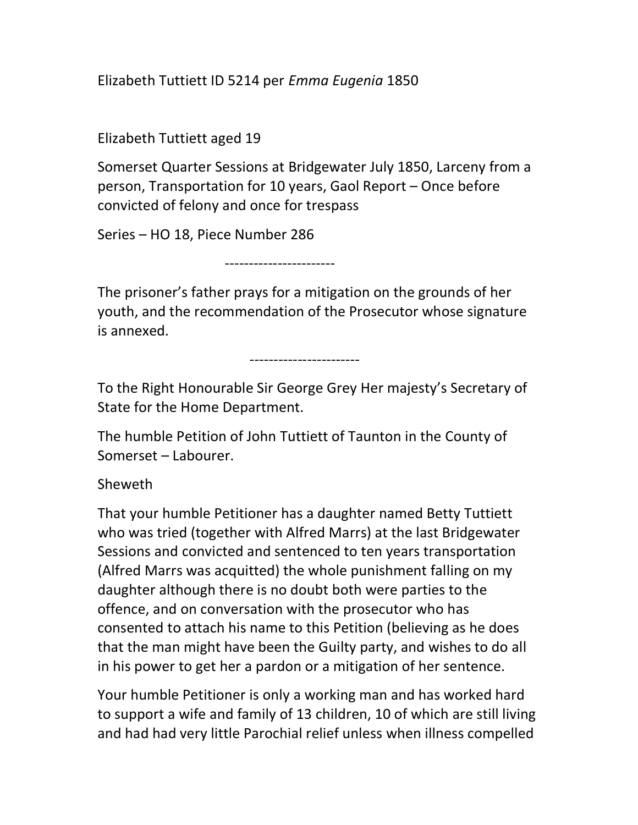Elizabeth Tuttiett ID 5214 per Emma Eugenia 1850

## Elizabeth Tuttiett aged 19

Somerset Quarter Sessions at Bridgewater July 1850, Larceny from a person, Transportation for 10 years, Gaol Report – Once before convicted of felony and once for trespass

Series – HO 18, Piece Number 286

-----------------------

The prisoner's father prays for a mitigation on the grounds of her youth, and the recommendation of the Prosecutor whose signature is annexed.

## -----------------------

To the Right Honourable Sir George Grey Her majesty's Secretary of State for the Home Department.

The humble Petition of John Tuttiett of Taunton in the County of Somerset – Labourer.

## Sheweth

That your humble Petitioner has a daughter named Betty Tuttiett who was tried (together with Alfred Marrs) at the last Bridgewater Sessions and convicted and sentenced to ten years transportation (Alfred Marrs was acquitted) the whole punishment falling on my daughter although there is no doubt both were parties to the offence, and on conversation with the prosecutor who has consented to attach his name to this Petition (believing as he does that the man might have been the Guilty party, and wishes to do all in his power to get her a pardon or a mitigation of her sentence.

Your humble Petitioner is only a working man and has worked hard to support a wife and family of 13 children, 10 of which are still living and had had very little Parochial relief unless when illness compelled